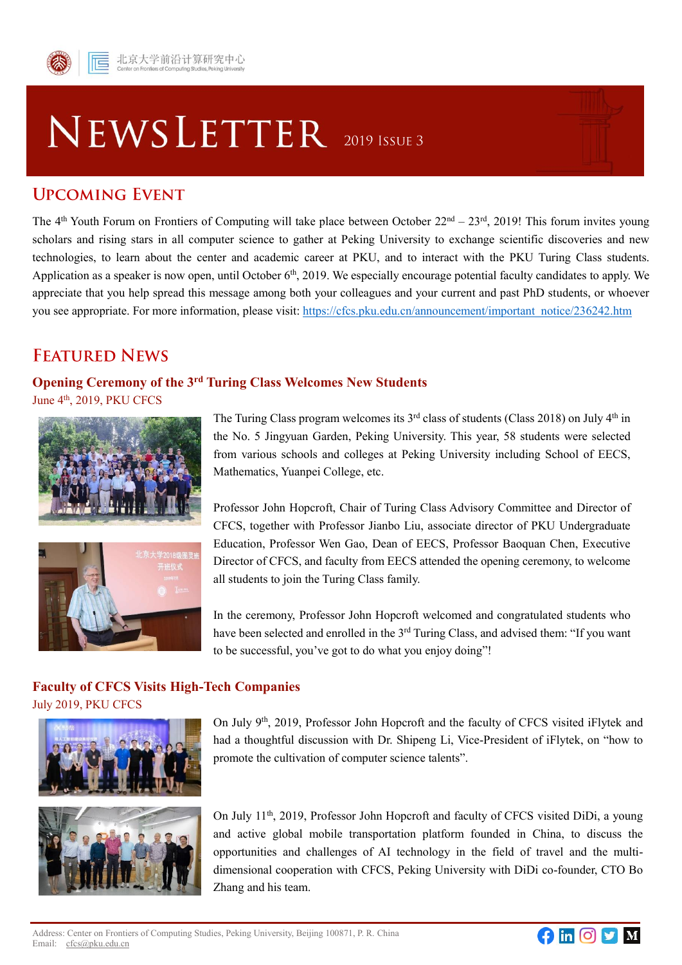# NEWSLETTER 2019 ISSUE 3

## **UPCOMING EVENT**

The 4<sup>th</sup> Youth Forum on Frontiers of Computing will take place between October 22<sup>nd</sup> – 23<sup>rd</sup>, 2019! This forum invites young scholars and rising stars in all computer science to gather at Peking University to exchange scientific discoveries and new technologies, to learn about the center and academic career at PKU, and to interact with the PKU Turing Class students. Application as a speaker is now open, until October 6<sup>th</sup>, 2019. We especially encourage potential faculty candidates to apply. We appreciate that you help spread this message among both your colleagues and your current and past PhD students, or whoever you see appropriate. For more information, please visit: [https://cfcs.pku.edu.cn/announcement/important\\_notice/236242.htm](https://cfcs.pku.edu.cn/announcement/important_notice/236242.htm)

# **FEATURED NEWS**

## **Opening Ceremony of the 3 rd Turing Class Welcomes New Students**

June 4<sup>th</sup>, 2019, PKU CFCS





The Turing Class program welcomes its  $3<sup>rd</sup>$  class of students (Class 2018) on July  $4<sup>th</sup>$  in the No. 5 Jingyuan Garden, Peking University. This year, 58 students were selected from various schools and colleges at Peking University including School of EECS, Mathematics, Yuanpei College, etc.

Professor John Hopcroft, Chair of Turing Class Advisory Committee and Director of CFCS, together with Professor Jianbo Liu, associate director of PKU Undergraduate Education, Professor Wen Gao, Dean of EECS, Professor Baoquan Chen, Executive Director of CFCS, and faculty from EECS attended the opening ceremony, to welcome all students to join the Turing Class family.

In the ceremony, Professor John Hopcroft welcomed and congratulated students who have been selected and enrolled in the 3<sup>rd</sup> Turing Class, and advised them: "If you want to be successful, you've got to do what you enjoy doing"!

#### **Faculty of CFCS Visits High-Tech Companies** July 2019, PKU CFCS





On July 9<sup>th</sup>, 2019, Professor John Hopcroft and the faculty of CFCS visited iFlytek and had a thoughtful discussion with Dr. Shipeng Li, Vice-President of iFlytek, on "how to promote the cultivation of computer science talents".

On July 11<sup>th</sup>, 2019, Professor John Hopcroft and faculty of CFCS visited DiDi, a young and active global mobile transportation platform founded in China, to discuss the opportunities and challenges of AI technology in the field of travel and the multidimensional cooperation with CFCS, Peking University with DiDi co-founder, CTO Bo Zhang and his team.